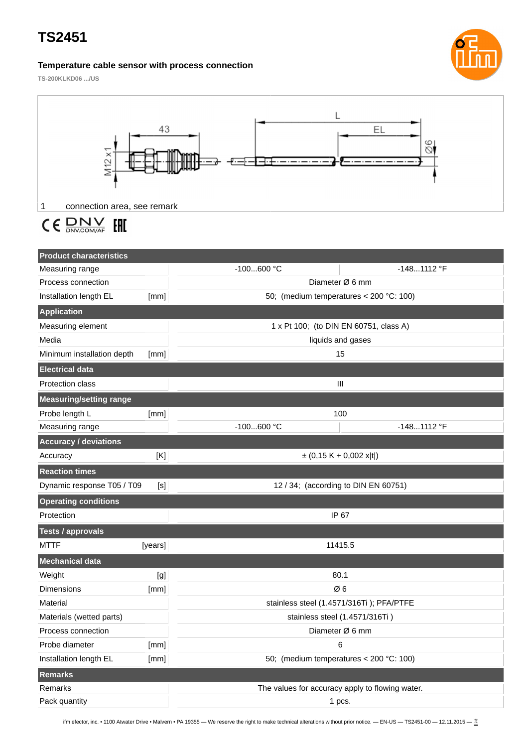# **TS2451**

## **Temperature cable sensor with process connection**



**TS-200KLKD06 .../US**



#### $C \in \frac{D N V}{D N V.COM/AF}$ EAD

| <b>Product characteristics</b>    |                                                 |                                           |               |
|-----------------------------------|-------------------------------------------------|-------------------------------------------|---------------|
| Measuring range                   |                                                 | $-100600 °C$                              | $-1481112$ °F |
| Process connection                |                                                 | Diameter Ø 6 mm                           |               |
| Installation length EL            | [mm]                                            | 50; (medium temperatures < $200$ °C: 100) |               |
| Application                       |                                                 |                                           |               |
| Measuring element                 |                                                 | 1 x Pt 100; (to DIN EN 60751, class A)    |               |
| Media                             |                                                 | liquids and gases                         |               |
| Minimum installation depth        | [mm]                                            | 15                                        |               |
| <b>Electrical data</b>            |                                                 |                                           |               |
| <b>Protection class</b>           |                                                 | Ш                                         |               |
| <b>Measuring/setting range</b>    |                                                 |                                           |               |
| Probe length L                    | [mm]                                            | 100                                       |               |
| Measuring range                   |                                                 | $-100600$ °C                              | $-1481112$ °F |
| <b>Accuracy / deviations</b>      |                                                 |                                           |               |
| Accuracy                          | [K]                                             | $\pm$ (0,15 K + 0,002 x t )               |               |
| <b>Reaction times</b>             |                                                 |                                           |               |
| Dynamic response T05 / T09<br>[s] |                                                 | 12 / 34; (according to DIN EN 60751)      |               |
| <b>Operating conditions</b>       |                                                 |                                           |               |
| Protection                        |                                                 | IP 67                                     |               |
| <b>Tests / approvals</b>          |                                                 |                                           |               |
| <b>MTTF</b>                       | [years]                                         | 11415.5                                   |               |
| <b>Mechanical data</b>            |                                                 |                                           |               |
| Weight                            | [g]                                             | 80.1                                      |               |
| Dimensions                        | [mm]                                            | Ø6                                        |               |
| Material                          |                                                 | stainless steel (1.4571/316Ti); PFA/PTFE  |               |
| Materials (wetted parts)          |                                                 | stainless steel (1.4571/316Ti)            |               |
| Process connection                |                                                 | Diameter Ø 6 mm                           |               |
| Probe diameter                    | [mm]                                            | 6                                         |               |
| Installation length EL            | [mm]                                            | 50; (medium temperatures < $200$ °C: 100) |               |
| Remarks                           |                                                 |                                           |               |
| Remarks                           | The values for accuracy apply to flowing water. |                                           |               |
| Pack quantity                     |                                                 | 1 pcs.                                    |               |